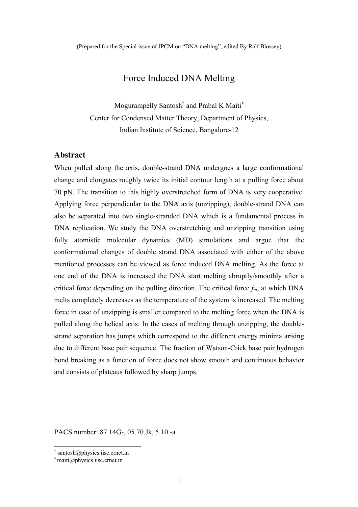## Force Induced DNA Melting

Mogurampelly Santosh<sup>†</sup> and Prabal K Maiti<sup>\*</sup> Center for Condensed Matter Theory, Department of Physics, Indian Institute of Science, Bangalore-12

## **Abstract**

When pulled along the axis, double-strand DNA undergoes a large conformational change and elongates roughly twice its initial contour length at a pulling force about 70 pN. The transition to this highly overstretched form of DNA is very cooperative. Applying force perpendicular to the DNA axis (unzipping), double-strand DNA can also be separated into two single-stranded DNA which is a fundamental process in DNA replication. We study the DNA overstretching and unzipping transition using fully atomistic molecular dynamics (MD) simulations and argue that the conformational changes of double strand DNA associated with either of the above mentioned processes can be viewed as force induced DNA melting. As the force at one end of the DNA is increased the DNA start melting abruptly/smoothly after a critical force depending on the pulling direction. The critical force  $f_m$ , at which DNA melts completely decreases as the temperature of the system is increased. The melting force in case of unzipping is smaller compared to the melting force when the DNA is pulled along the helical axis. In the cases of melting through unzipping, the doublestrand separation has jumps which correspond to the different energy minima arising due to different base pair sequence. The fraction of Watson-Crick base pair hydrogen bond breaking as a function of force does not show smooth and continuous behavior and consists of plateaus followed by sharp jumps.

PACS number: 87.14G-, 05.70.Jk, 5.10.-a

 † santosh@physics.iisc.ernet.in

<sup>∗</sup>maiti@physics.iisc.ernet.in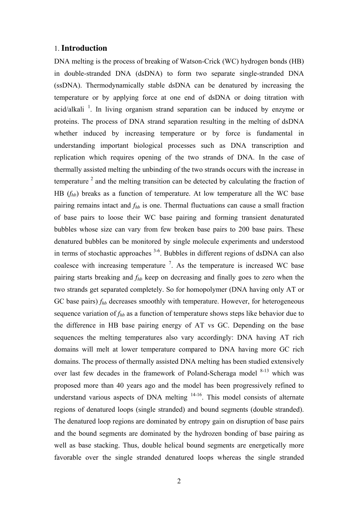### 1. **Introduction**

DNA melting is the process of breaking of Watson-Crick (WC) hydrogen bonds (HB) in double-stranded DNA (dsDNA) to form two separate single-stranded DNA (ssDNA). Thermodynamically stable dsDNA can be denatured by increasing the temperature or by applying force at one end of dsDNA or doing titration with acid/alkali<sup>1</sup>. In living organism strand separation can be induced by enzyme or proteins. The process of DNA strand separation resulting in the melting of dsDNA whether induced by increasing temperature or by force is fundamental in understanding important biological processes such as DNA transcription and replication which requires opening of the two strands of DNA. In the case of thermally assisted melting the unbinding of the two strands occurs with the increase in temperature  $2$  and the melting transition can be detected by calculating the fraction of HB (*fhb*) breaks as a function of temperature. At low temperature all the WC base pairing remains intact and *fhb* is one. Thermal fluctuations can cause a small fraction of base pairs to loose their WC base pairing and forming transient denaturated bubbles whose size can vary from few broken base pairs to 200 base pairs. These denatured bubbles can be monitored by single molecule experiments and understood in terms of stochastic approaches  $3-6$ . Bubbles in different regions of dsDNA can also coalesce with increasing temperature  $\overline{a}$ . As the temperature is increased WC base pairing starts breaking and *fhb* keep on decreasing and finally goes to zero when the two strands get separated completely. So for homopolymer (DNA having only AT or GC base pairs)  $f_{hb}$  decreases smoothly with temperature. However, for heterogeneous sequence variation of *fhb* as a function of temperature shows steps like behavior due to the difference in HB base pairing energy of AT vs GC. Depending on the base sequences the melting temperatures also vary accordingly: DNA having AT rich domains will melt at lower temperature compared to DNA having more GC rich domains. The process of thermally assisted DNA melting has been studied extensively over last few decades in the framework of Poland-Scheraga model <sup>8-13</sup> which was proposed more than 40 years ago and the model has been progressively refined to understand various aspects of DNA melting <sup>14-16</sup>. This model consists of alternate regions of denatured loops (single stranded) and bound segments (double stranded). The denatured loop regions are dominated by entropy gain on disruption of base pairs and the bound segments are dominated by the hydrozen bonding of base pairing as well as base stacking. Thus, double helical bound segments are energetically more favorable over the single stranded denatured loops whereas the single stranded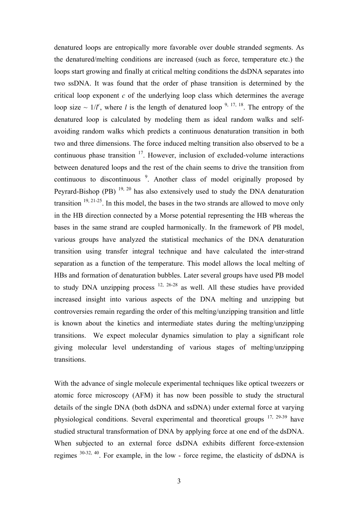denatured loops are entropically more favorable over double stranded segments. As the denatured/melting conditions are increased (such as force, temperature etc.) the loops start growing and finally at critical melting conditions the dsDNA separates into two ssDNA. It was found that the order of phase transition is determined by the critical loop exponent *c* of the underlying loop class which determines the average loop size  $\sim 1/l^c$ , where *l* is the length of denatured loop <sup>9, 17, 18</sup>. The entropy of the denatured loop is calculated by modeling them as ideal random walks and selfavoiding random walks which predicts a continuous denaturation transition in both two and three dimensions. The force induced melting transition also observed to be a continuous phase transition  $17$ . However, inclusion of excluded-volume interactions between denatured loops and the rest of the chain seems to drive the transition from continuous to discontinuous<sup>9</sup>. Another class of model originally proposed by Peyrard-Bishop (PB)  $^{19, 20}$  has also extensively used to study the DNA denaturation transition 19, 21-25. In this model, the bases in the two strands are allowed to move only in the HB direction connected by a Morse potential representing the HB whereas the bases in the same strand are coupled harmonically. In the framework of PB model, various groups have analyzed the statistical mechanics of the DNA denaturation transition using transfer integral technique and have calculated the inter-strand separation as a function of the temperature. This model allows the local melting of HBs and formation of denaturation bubbles. Later several groups have used PB model to study DNA unzipping process  $12, 26-28$  as well. All these studies have provided increased insight into various aspects of the DNA melting and unzipping but controversies remain regarding the order of this melting/unzipping transition and little is known about the kinetics and intermediate states during the melting/unzipping transitions. We expect molecular dynamics simulation to play a significant role giving molecular level understanding of various stages of melting/unzipping transitions.

With the advance of single molecule experimental techniques like optical tweezers or atomic force microscopy (AFM) it has now been possible to study the structural details of the single DNA (both dsDNA and ssDNA) under external force at varying physiological conditions. Several experimental and theoretical groups 17, 29-39 have studied structural transformation of DNA by applying force at one end of the dsDNA. When subjected to an external force dsDNA exhibits different force-extension regimes 30-32, 40. For example, in the low - force regime, the elasticity of dsDNA is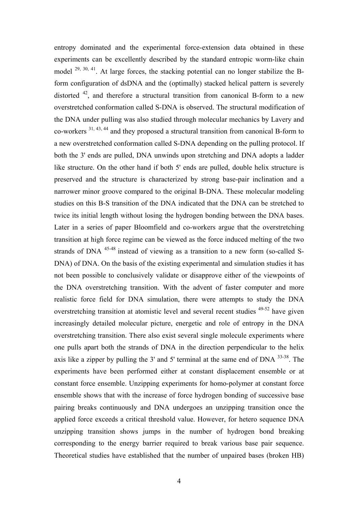entropy dominated and the experimental force-extension data obtained in these experiments can be excellently described by the standard entropic worm-like chain model <sup>29, 30, 41</sup>. At large forces, the stacking potential can no longer stabilize the Bform configuration of dsDNA and the (optimally) stacked helical pattern is severely distorted  $42$ , and therefore a structural transition from canonical B-form to a new overstretched conformation called S-DNA is observed. The structural modification of the DNA under pulling was also studied through molecular mechanics by Lavery and co-workers 31, 43, 44 and they proposed a structural transition from canonical B-form to a new overstretched conformation called S-DNA depending on the pulling protocol. If both the 3' ends are pulled, DNA unwinds upon stretching and DNA adopts a ladder like structure. On the other hand if both 5' ends are pulled, double helix structure is preserved and the structure is characterized by strong base-pair inclination and a narrower minor groove compared to the original B-DNA. These molecular modeling studies on this B-S transition of the DNA indicated that the DNA can be stretched to twice its initial length without losing the hydrogen bonding between the DNA bases. Later in a series of paper Bloomfield and co-workers argue that the overstretching transition at high force regime can be viewed as the force induced melting of the two strands of DNA <sup>45-48</sup> instead of viewing as a transition to a new form (so-called S-DNA) of DNA. On the basis of the existing experimental and simulation studies it has not been possible to conclusively validate or disapprove either of the viewpoints of the DNA overstretching transition. With the advent of faster computer and more realistic force field for DNA simulation, there were attempts to study the DNA overstretching transition at atomistic level and several recent studies <sup>49-52</sup> have given increasingly detailed molecular picture, energetic and role of entropy in the DNA overstretching transition. There also exist several single molecule experiments where one pulls apart both the strands of DNA in the direction perpendicular to the helix axis like a zipper by pulling the 3' and 5' terminal at the same end of DNA  $^{33-38}$ . The experiments have been performed either at constant displacement ensemble or at constant force ensemble. Unzipping experiments for homo-polymer at constant force ensemble shows that with the increase of force hydrogen bonding of successive base pairing breaks continuously and DNA undergoes an unzipping transition once the applied force exceeds a critical threshold value. However, for hetero sequence DNA unzipping transition shows jumps in the number of hydrogen bond breaking corresponding to the energy barrier required to break various base pair sequence. Theoretical studies have established that the number of unpaired bases (broken HB)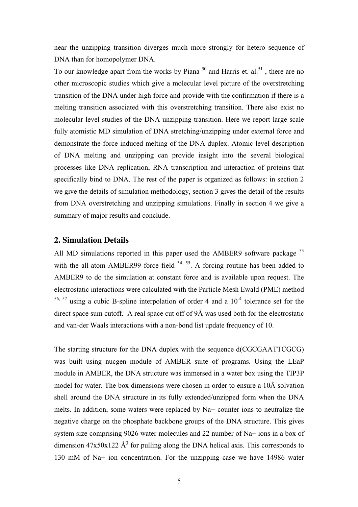near the unzipping transition diverges much more strongly for hetero sequence of DNA than for homopolymer DNA.

To our knowledge apart from the works by Piana  $50$  and Harris et. al.<sup>51</sup>, there are no other microscopic studies which give a molecular level picture of the overstretching transition of the DNA under high force and provide with the confirmation if there is a melting transition associated with this overstretching transition. There also exist no molecular level studies of the DNA unzipping transition. Here we report large scale fully atomistic MD simulation of DNA stretching/unzipping under external force and demonstrate the force induced melting of the DNA duplex. Atomic level description of DNA melting and unzipping can provide insight into the several biological processes like DNA replication, RNA transcription and interaction of proteins that specifically bind to DNA. The rest of the paper is organized as follows: in section 2 we give the details of simulation methodology, section 3 gives the detail of the results from DNA overstretching and unzipping simulations. Finally in section 4 we give a summary of major results and conclude.

#### **2. Simulation Details**

All MD simulations reported in this paper used the AMBER9 software package <sup>53</sup> with the all-atom AMBER99 force field  $54, 55$ . A forcing routine has been added to AMBER9 to do the simulation at constant force and is available upon request. The electrostatic interactions were calculated with the Particle Mesh Ewald (PME) method <sup>56, 57</sup> using a cubic B-spline interpolation of order 4 and a  $10^{-4}$  tolerance set for the direct space sum cutoff. A real space cut off of 9Å was used both for the electrostatic and van-der Waals interactions with a non-bond list update frequency of 10.

The starting structure for the DNA duplex with the sequence d(CGCGAATTCGCG) was built using nucgen module of AMBER suite of programs. Using the LEaP module in AMBER, the DNA structure was immersed in a water box using the TIP3P model for water. The box dimensions were chosen in order to ensure a 10Å solvation shell around the DNA structure in its fully extended/unzipped form when the DNA melts. In addition, some waters were replaced by Na+ counter ions to neutralize the negative charge on the phosphate backbone groups of the DNA structure. This gives system size comprising 9026 water molecules and 22 number of Na+ ions in a box of dimension  $47x50x122$   $\AA$ <sup>3</sup> for pulling along the DNA helical axis. This corresponds to 130 mM of Na+ ion concentration. For the unzipping case we have 14986 water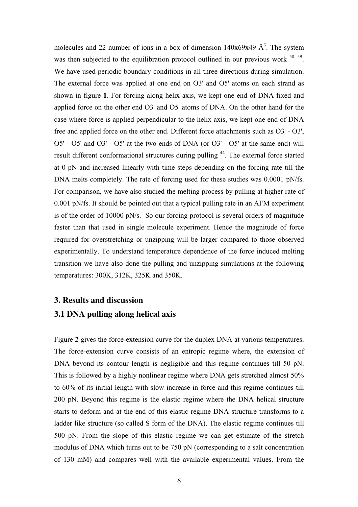molecules and 22 number of ions in a box of dimension  $140x69x49 \text{ Å}^3$ . The system was then subjected to the equilibration protocol outlined in our previous work  $58, 59$ . We have used periodic boundary conditions in all three directions during simulation. The external force was applied at one end on O3' and O5' atoms on each strand as shown in figure **1**. For forcing along helix axis, we kept one end of DNA fixed and applied force on the other end O3' and O5' atoms of DNA. On the other hand for the case where force is applied perpendicular to the helix axis, we kept one end of DNA free and applied force on the other end. Different force attachments such as O3' - O3', O5' - O5' and O3' - O5' at the two ends of DNA (or O3' - O5' at the same end) will result different conformational structures during pulling <sup>44</sup>. The external force started at 0 pN and increased linearly with time steps depending on the forcing rate till the DNA melts completely. The rate of forcing used for these studies was 0.0001 pN/fs. For comparison, we have also studied the melting process by pulling at higher rate of 0.001 pN/fs. It should be pointed out that a typical pulling rate in an AFM experiment is of the order of 10000 pN/s. So our forcing protocol is several orders of magnitude faster than that used in single molecule experiment. Hence the magnitude of force required for overstretching or unzipping will be larger compared to those observed experimentally. To understand temperature dependence of the force induced melting transition we have also done the pulling and unzipping simulations at the following temperatures: 300K, 312K, 325K and 350K.

# **3. Results and discussion**

## **3.1 DNA pulling along helical axis**

Figure **2** gives the force-extension curve for the duplex DNA at various temperatures. The force-extension curve consists of an entropic regime where, the extension of DNA beyond its contour length is negligible and this regime continues till 50 pN. This is followed by a highly nonlinear regime where DNA gets stretched almost 50% to 60% of its initial length with slow increase in force and this regime continues till 200 pN. Beyond this regime is the elastic regime where the DNA helical structure starts to deform and at the end of this elastic regime DNA structure transforms to a ladder like structure (so called S form of the DNA). The elastic regime continues till 500 pN. From the slope of this elastic regime we can get estimate of the stretch modulus of DNA which turns out to be 750 pN (corresponding to a salt concentration of 130 mM) and compares well with the available experimental values. From the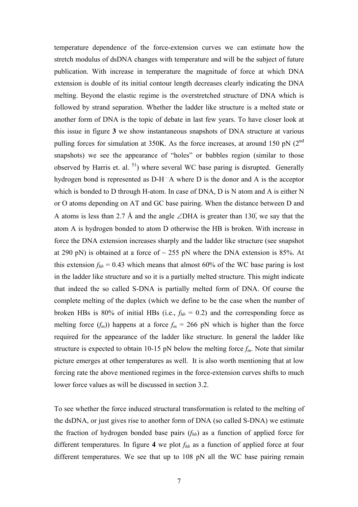temperature dependence of the force-extension curves we can estimate how the stretch modulus of dsDNA changes with temperature and will be the subject of future publication. With increase in temperature the magnitude of force at which DNA extension is double of its initial contour length decreases clearly indicating the DNA melting. Beyond the elastic regime is the overstretched structure of DNA which is followed by strand separation. Whether the ladder like structure is a melted state or another form of DNA is the topic of debate in last few years. To have closer look at this issue in figure **3** we show instantaneous snapshots of DNA structure at various pulling forces for simulation at  $350K$ . As the force increases, at around  $150$  pN  $(2<sup>nd</sup>$ snapshots) we see the appearance of "holes" or bubbles region (similar to those observed by Harris et. al.  $51$ ) where several WC base paring is disrupted. Generally hydrogen bond is represented as D-H…A where D is the donor and A is the acceptor which is bonded to D through H-atom. In case of DNA, D is N atom and A is either N or O atoms depending on AT and GC base pairing. When the distance between D and A atoms is less than 2.7 Å and the angle ∠DHA is greater than 130°, we say that the atom A is hydrogen bonded to atom D otherwise the HB is broken. With increase in force the DNA extension increases sharply and the ladder like structure (see snapshot at 290 pN) is obtained at a force of  $\sim$  255 pN where the DNA extension is 85%. At this extension  $f_{hb} = 0.43$  which means that almost 60% of the WC base paring is lost in the ladder like structure and so it is a partially melted structure. This might indicate that indeed the so called S-DNA is partially melted form of DNA. Of course the complete melting of the duplex (which we define to be the case when the number of broken HBs is 80% of initial HBs (i.e.,  $f_{hb} = 0.2$ ) and the corresponding force as melting force  $(f_m)$ ) happens at a force  $f_m = 266$  pN which is higher than the force required for the appearance of the ladder like structure. In general the ladder like structure is expected to obtain 10-15 pN below the melting force  $f_m$ . Note that similar picture emerges at other temperatures as well. It is also worth mentioning that at low forcing rate the above mentioned regimes in the force-extension curves shifts to much lower force values as will be discussed in section 3.2.

To see whether the force induced structural transformation is related to the melting of the dsDNA, or just gives rise to another form of DNA (so called S-DNA) we estimate the fraction of hydrogen bonded base pairs (*fhb*) as a function of applied force for different temperatures. In figure **4** we plot *fhb* as a function of applied force at four different temperatures. We see that up to 108 pN all the WC base pairing remain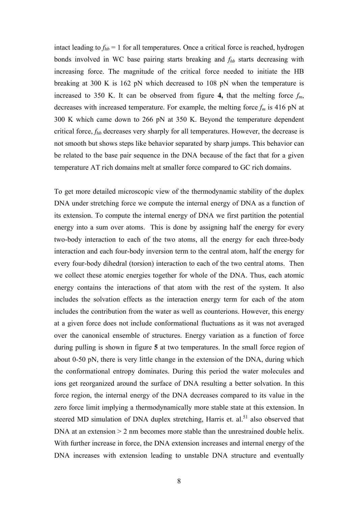intact leading to  $f_{hb} = 1$  for all temperatures. Once a critical force is reached, hydrogen bonds involved in WC base pairing starts breaking and *fhb* starts decreasing with increasing force. The magnitude of the critical force needed to initiate the HB breaking at 300 K is 162 pN which decreased to 108 pN when the temperature is increased to 350 K. It can be observed from figure 4, that the melting force  $f_m$ , decreases with increased temperature. For example, the melting force *fm* is 416 pN at 300 K which came down to 266 pN at 350 K. Beyond the temperature dependent critical force, *fhb* decreases very sharply for all temperatures. However, the decrease is not smooth but shows steps like behavior separated by sharp jumps. This behavior can be related to the base pair sequence in the DNA because of the fact that for a given temperature AT rich domains melt at smaller force compared to GC rich domains.

To get more detailed microscopic view of the thermodynamic stability of the duplex DNA under stretching force we compute the internal energy of DNA as a function of its extension. To compute the internal energy of DNA we first partition the potential energy into a sum over atoms. This is done by assigning half the energy for every two-body interaction to each of the two atoms, all the energy for each three-body interaction and each four-body inversion term to the central atom, half the energy for every four-body dihedral (torsion) interaction to each of the two central atoms. Then we collect these atomic energies together for whole of the DNA. Thus, each atomic energy contains the interactions of that atom with the rest of the system. It also includes the solvation effects as the interaction energy term for each of the atom includes the contribution from the water as well as counterions. However, this energy at a given force does not include conformational fluctuations as it was not averaged over the canonical ensemble of structures. Energy variation as a function of force during pulling is shown in figure **5** at two temperatures. In the small force region of about 0-50 pN, there is very little change in the extension of the DNA, during which the conformational entropy dominates. During this period the water molecules and ions get reorganized around the surface of DNA resulting a better solvation. In this force region, the internal energy of the DNA decreases compared to its value in the zero force limit implying a thermodynamically more stable state at this extension. In steered MD simulation of DNA duplex stretching, Harris et. al.<sup>51</sup> also observed that DNA at an extension  $> 2$  nm becomes more stable than the unrestrained double helix. With further increase in force, the DNA extension increases and internal energy of the DNA increases with extension leading to unstable DNA structure and eventually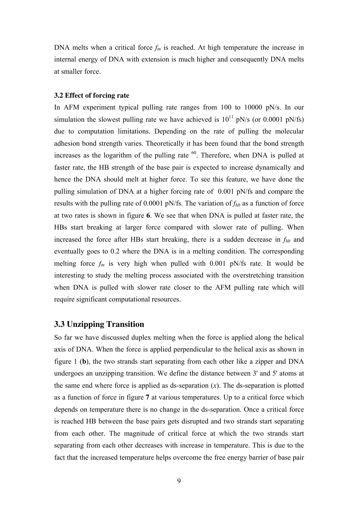DNA melts when a critical force  $f_m$  is reached. At high temperature the increase in internal energy of DNA with extension is much higher and consequently DNA melts at smaller force.

#### **3.2 Effect of forcing rate**

In AFM experiment typical pulling rate ranges from 100 to 10000 pN/s. In our simulation the slowest pulling rate we have achieved is  $10^{11}$  pN/s (or 0.0001 pN/fs) due to computation limitations. Depending on the rate of pulling the molecular adhesion bond strength varies. Theoretically it has been found that the bond strength increases as the logarithm of the pulling rate  $60$ . Therefore, when DNA is pulled at faster rate, the HB strength of the base pair is expected to increase dynamically and hence the DNA should melt at higher force. To see this feature, we have done the pulling simulation of DNA at a higher forcing rate of 0.001 pN/fs and compare the results with the pulling rate of 0.0001 pN/fs. The variation of *fhb* as a function of force at two rates is shown in figure **6**. We see that when DNA is pulled at faster rate, the HBs start breaking at larger force compared with slower rate of pulling. When increased the force after HBs start breaking, there is a sudden decrease in *fhb* and eventually goes to 0.2 where the DNA is in a melting condition. The corresponding melting force  $f_m$  is very high when pulled with 0.001 pN/fs rate. It would be interesting to study the melting process associated with the overstretching transition when DNA is pulled with slower rate closer to the AFM pulling rate which will require significant computational resources.

#### **3.3 Unzipping Transition**

So far we have discussed duplex melting when the force is applied along the helical axis of DNA. When the force is applied perpendicular to the helical axis as shown in figure 1 (**b**), the two strands start separating from each other like a zipper and DNA undergoes an unzipping transition. We define the distance between 3' and 5' atoms at the same end where force is applied as ds-separation  $(x)$ . The ds-separation is plotted as a function of force in figure **7** at various temperatures. Up to a critical force which depends on temperature there is no change in the ds-separation. Once a critical force is reached HB between the base pairs gets disrupted and two strands start separating from each other. The magnitude of critical force at which the two strands start separating from each other decreases with increase in temperature. This is due to the fact that the increased temperature helps overcome the free energy barrier of base pair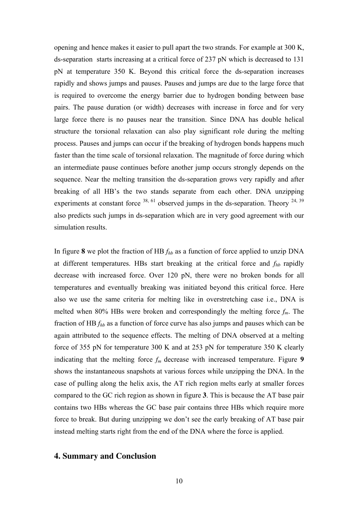opening and hence makes it easier to pull apart the two strands. For example at 300 K, ds-separation starts increasing at a critical force of 237 pN which is decreased to 131 pN at temperature 350 K. Beyond this critical force the ds-separation increases rapidly and shows jumps and pauses. Pauses and jumps are due to the large force that is required to overcome the energy barrier due to hydrogen bonding between base pairs. The pause duration (or width) decreases with increase in force and for very large force there is no pauses near the transition. Since DNA has double helical structure the torsional relaxation can also play significant role during the melting process. Pauses and jumps can occur if the breaking of hydrogen bonds happens much faster than the time scale of torsional relaxation. The magnitude of force during which an intermediate pause continues before another jump occurs strongly depends on the sequence. Near the melting transition the ds-separation grows very rapidly and after breaking of all HB's the two stands separate from each other. DNA unzipping experiments at constant force  $38, 61$  observed jumps in the ds-separation. Theory  $24, 39$ also predicts such jumps in ds-separation which are in very good agreement with our simulation results.

In figure **8** we plot the fraction of HB *fhb* as a function of force applied to unzip DNA at different temperatures. HBs start breaking at the critical force and *fhb* rapidly decrease with increased force. Over 120 pN, there were no broken bonds for all temperatures and eventually breaking was initiated beyond this critical force. Here also we use the same criteria for melting like in overstretching case i.e., DNA is melted when 80% HBs were broken and correspondingly the melting force *fm*. The fraction of HB *fhb* as a function of force curve has also jumps and pauses which can be again attributed to the sequence effects. The melting of DNA observed at a melting force of 355 pN for temperature 300 K and at 253 pN for temperature 350 K clearly indicating that the melting force  $f_m$  decrease with increased temperature. Figure 9 shows the instantaneous snapshots at various forces while unzipping the DNA. In the case of pulling along the helix axis, the AT rich region melts early at smaller forces compared to the GC rich region as shown in figure **3**. This is because the AT base pair contains two HBs whereas the GC base pair contains three HBs which require more force to break. But during unzipping we don't see the early breaking of AT base pair instead melting starts right from the end of the DNA where the force is applied.

## **4. Summary and Conclusion**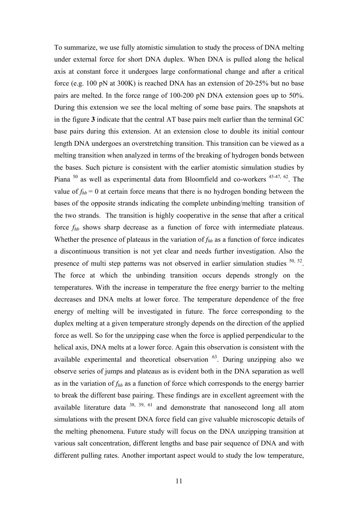To summarize, we use fully atomistic simulation to study the process of DNA melting under external force for short DNA duplex. When DNA is pulled along the helical axis at constant force it undergoes large conformational change and after a critical force (e.g. 100 pN at 300K) is reached DNA has an extension of 20-25% but no base pairs are melted. In the force range of 100-200 pN DNA extension goes up to 50%. During this extension we see the local melting of some base pairs. The snapshots at in the figure **3** indicate that the central AT base pairs melt earlier than the terminal GC base pairs during this extension. At an extension close to double its initial contour length DNA undergoes an overstretching transition. This transition can be viewed as a melting transition when analyzed in terms of the breaking of hydrogen bonds between the bases. Such picture is consistent with the earlier atomistic simulation studies by Piana <sup>50</sup> as well as experimental data from Bloomfield and co-workers <sup>45-47, 62</sup>. The value of  $f_{hb} = 0$  at certain force means that there is no hydrogen bonding between the bases of the opposite strands indicating the complete unbinding/melting transition of the two strands. The transition is highly cooperative in the sense that after a critical force *fhb* shows sharp decrease as a function of force with intermediate plateaus. Whether the presence of plateaus in the variation of *fhb* as a function of force indicates a discontinuous transition is not yet clear and needs further investigation. Also the presence of multi step patterns was not observed in earlier simulation studies  $50, 52$ . The force at which the unbinding transition occurs depends strongly on the temperatures. With the increase in temperature the free energy barrier to the melting decreases and DNA melts at lower force. The temperature dependence of the free energy of melting will be investigated in future. The force corresponding to the duplex melting at a given temperature strongly depends on the direction of the applied force as well. So for the unzipping case when the force is applied perpendicular to the helical axis, DNA melts at a lower force. Again this observation is consistent with the available experimental and theoretical observation  $^{63}$ . During unzipping also we observe series of jumps and plateaus as is evident both in the DNA separation as well as in the variation of *fhb* as a function of force which corresponds to the energy barrier to break the different base pairing. These findings are in excellent agreement with the available literature data  $38$ ,  $39$ ,  $61$  and demonstrate that nanosecond long all atom simulations with the present DNA force field can give valuable microscopic details of the melting phenomena. Future study will focus on the DNA unzipping transition at various salt concentration, different lengths and base pair sequence of DNA and with different pulling rates. Another important aspect would to study the low temperature,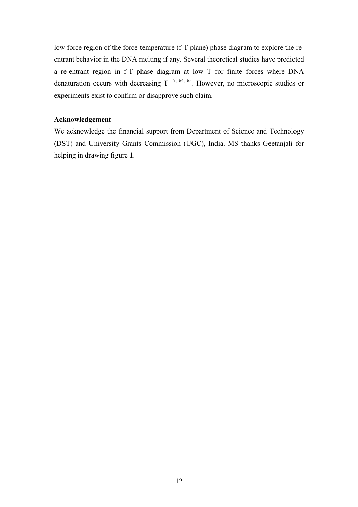low force region of the force-temperature (f-T plane) phase diagram to explore the reentrant behavior in the DNA melting if any. Several theoretical studies have predicted a re-entrant region in f-T phase diagram at low T for finite forces where DNA denaturation occurs with decreasing  $T^{17, 64, 65}$ . However, no microscopic studies or experiments exist to confirm or disapprove such claim.

## **Acknowledgement**

We acknowledge the financial support from Department of Science and Technology (DST) and University Grants Commission (UGC), India. MS thanks Geetanjali for helping in drawing figure **1**.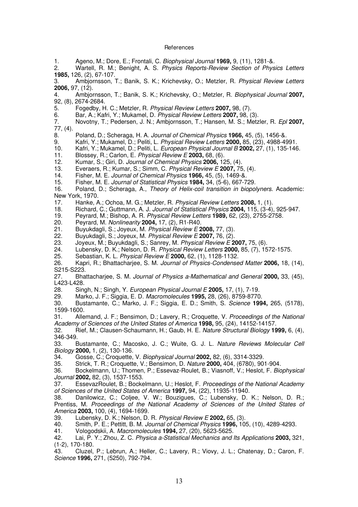#### **References**

1. Ageno, M.; Dore, E.; Frontali, C. Biophysical Journal **1969,** 9, (11), 1281-&.

2. Wartell, R. M.; Benight, A. S. Physics Reports-Review Section of Physics Letters **1985,** 126, (2), 67-107.

3. Ambjornsson, T.; Banik, S. K.; Krichevsky, O.; Metzler, R. Physical Review Letters **2006,** 97, (12).

4. Ambjornsson, T.; Banik, S. K.; Krichevsky, O.; Metzler, R. Biophysical Journal **2007,** 92, (8), 2674-2684.

- 5. Fogedby, H. C.; Metzler, R. Physical Review Letters **2007,** 98, (7).
- 6. Bar, A.; Kafri, Y.; Mukamel, D. Physical Review Letters **2007,** 98, (3).
- 7. Novotny, T.; Pedersen, J. N.; Ambjornsson, T.; Hansen, M. S.; Metzler, R. Epl **2007,** 77, (4).
- 
- 8. Poland, D.; Scheraga, H. A. Journal of Chemical Physics **1966,** 45, (5), 1456-&.
- 9. Kafri, Y.; Mukamel, D.; Peliti, L. Physical Review Letters **2000,** 85, (23), 4988-4991. 10. Kafri, Y.; Mukamel, D.; Peliti, L. European Physical Journal B **2002,** 27, (1), 135-146.
- 11. Blossey, R.; Carlon, E. Physical Review E **2003,** 68, (6).
- 12. Kumar, S.; Giri, D. Journal of Chemical Physics **2006,** 125, (4).
- 13. Everaers, R.; Kumar, S.; Simm, C. Physical Review E **2007,** 75, (4).
- 14. Fisher, M. E. Journal of Chemical Physics **1966,** 45, (5), 1469-&.
- 15. Fisher, M. E. Journal of Statistical Physics **1984,** 34, (5-6), 667-729.

16. Poland, D.; Scheraga, A., Theory of Helix-coil transition in biopolyners. Academic:

- New York, 1970. 17. Hanke, A.; Ochoa, M. G.; Metzler, R. Physical Review Letters **2008,** 1, (1).
- 18. Richard, C.; Guttmann, A. J. Journal of Statistical Physics **2004,** 115, (3-4), 925-947.
- 19. Peyrard, M.; Bishop, A. R. Physical Review Letters **1989,** 62, (23), 2755-2758.
- 20. Peyrard, M. Nonlinearity **2004,** 17, (2), R1-R40.
- 21. Buyukdagli, S.; Joyeux, M. Physical Review E **2008,** 77, (3).
- 22. Buyukdagli, S.; Joyeux, M. Physical Review E **2007,** 76, (2).
- 23. Joyeux, M.; Buyukdagli, S.; Sanrey, M. Physical Review E **2007,** 75, (6).
- 24. Lubensky, D. K.; Nelson, D. R. Physical Review Letters **2000,** 85, (7), 1572-1575.
- 25. Sebastian, K. L. Physical Review E **2000,** 62, (1), 1128-1132.
- 26. Kapri, R.; Bhattacharjee, S. M. Journal of Physics-Condensed Matter **2006,** 18, (14), S215-S223.
- 27. Bhattacharjee, S. M. Journal of Physics a-Mathematical and General **2000,** 33, (45), L423-L428.
- 28. Singh, N.; Singh, Y. European Physical Journal E **2005,** 17, (1), 7-19.
- 29. Marko, J. F.; Siggia, E. D. Macromolecules **1995,** 28, (26), 8759-8770.

30. Bustamante, C.; Marko, J. F.; Siggia, E. D.; Smith, S. Science **1994,** 265, (5178), 1599-1600.

31. Allemand, J. F.; Bensimon, D.; Lavery, R.; Croquette, V. Proceedings of the National Academy of Sciences of the United States of America **1998,** 95, (24), 14152-14157.

32. Rief, M.; Clausen-Schaumann, H.; Gaub, H. E. Nature Structural Biology **1999,** 6, (4), 346-349.

33. Bustamante, C.; Macosko, J. C.; Wuite, G. J. L. Nature Reviews Molecular Cell Biology **2000,** 1, (2), 130-136.

- 34. Gosse, C.; Croquette, V. Biophysical Journal **2002,** 82, (6), 3314-3329.
- 35. Strick, T. R.; Croquette, V.; Bensimon, D. Nature **2000,** 404, (6780), 901-904.

36. Bockelmann, U.; Thomen, P.; Essevaz-Roulet, B.; Viasnoff, V.; Heslot, F. Biophysical Journal **2002,** 82, (3), 1537-1553.

37. EssevazRoulet, B.; Bockelmann, U.; Heslot, F. Proceedings of the National Academy of Sciences of the United States of America **1997,** 94, (22), 11935-11940.

38. Danilowicz, C.; Coljee, V. W.; Bouzigues, C.; Lubensky, D. K.; Nelson, D. R.; Prentiss, M. Proceedings of the National Academy of Sciences of the United States of America **2003,** 100, (4), 1694-1699.

39. Lubensky, D. K.; Nelson, D. R. Physical Review E **2002,** 65, (3).

40. Smith, P. E.; Pettitt, B. M. Journal of Chemical Physics **1996,** 105, (10), 4289-4293.

41. Vologodskii, A. Macromolecules **1994,** 27, (20), 5623-5625.

42. Lai, P. Y.; Zhou, Z. C. Physica a-Statistical Mechanics and Its Applications **2003,** 321, (1-2), 170-180.

43. Cluzel, P.; Lebrun, A.; Heller, C.; Lavery, R.; Viovy, J. L.; Chatenay, D.; Caron, F. Science **1996,** 271, (5250), 792-794.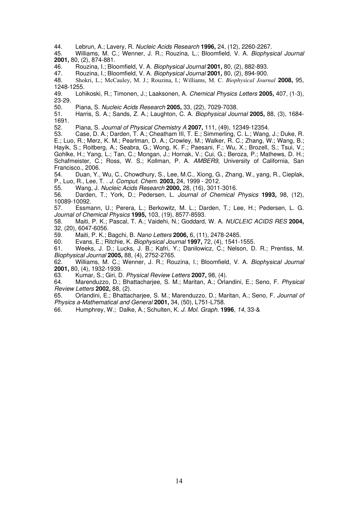44. Lebrun, A.; Lavery, R. Nucleic Acids Research **1996,** 24, (12), 2260-2267.

45. Williams, M. C.; Wenner, J. R.; Rouzina, L.; Bloomfield, V. A. Biophysical Journal **2001,** 80, (2), 874-881.

46. Rouzina, I.; Bloomfield, V. A. Biophysical Journal **2001,** 80, (2), 882-893.

47. Rouzina, I.; Bloomfield, V. A. Biophysical Journal **2001,** 80, (2), 894-900.

48. Shokri, L.; McCauley, M. J.; Rouzina, I.; Williams, M. C. *Biophysical Journal* **2008,** 95, 1248-1255.

49. Lohikoski, R.; Timonen, J.; Laaksonen, A. Chemical Physics Letters **2005,** 407, (1-3), 23-29.

50. Piana, S. Nucleic Acids Research **2005,** 33, (22), 7029-7038.

51. Harris, S. A.; Sands, Z. A.; Laughton, C. A. Biophysical Journal **2005,** 88, (3), 1684- 1691.

52. Piana, S. Journal of Physical Chemistry A **2007,** 111, (49), 12349-12354.

53. Case, D. A.; Darden, T. A.; Cheatham III, T. E.; Simmerling, C. L.; Wang, J.; Duke, R. E.; Luo, R.; Merz, K. M.; Pearlman, D. A.; Crowley, M.; Walker, R. C.; Zhang, W.; Wang, B.; Hayik, S.; Roitberg, A.; Seabra, G.; Wong, K. F.; Paesani, F.; Wu, X.; Brozell, S.; Tsui, V.; Gohlke, H.; Yang, L.; Tan, C.; Mongan, J.; Hornak, V.; Cui, G.; Beroza, P.; Mathews, D. H.; Schafmeister, C.; Ross, W. S.; Kollman, P. A. AMBER9, University of California, San Francisco., 2006.<br>54. Duan. Y..

Duan, Y., Wu, C., Chowdhury, S., Lee, M.C., Xiong, G., Zhang, W., yang, R., Cieplak, P., Luo, R., Lee, T. . J. Comput. Chem. **2003,** 24, 1999 - 2012.

55. Wang, J. Nucleic Acids Research **2000,** 28, (16), 3011-3016.

56. Darden, T.; York, D.; Pedersen, L. Journal of Chemical Physics **1993,** 98, (12), 10089-10092.

57. Essmann, U.; Perera, L.; Berkowitz, M. L.; Darden, T.; Lee, H.; Pedersen, L. G. Journal of Chemical Physics **1995,** 103, (19), 8577-8593.

58. Maiti, P. K.; Pascal, T. A.; Vaidehi, N.; Goddard, W. A. NUCLEIC ACIDS RES **2004,** 32, (20), 6047-6056.<br>59. Maiti, P. K.: I

59. Maiti, P. K.; Bagchi, B. Nano Letters **2006,** 6, (11), 2478-2485.

60. Evans, E.; Ritchie, K. Biophysical Journal **1997,** 72, (4), 1541-1555.

61. Weeks, J. D.; Lucks, J. B.; Kafri, Y.; Danilowicz, C.; Nelson, D. R.; Prentiss, M. Biophysical Journal **2005,** 88, (4), 2752-2765.

62. Williams, M. C.; Wenner, J. R.; Rouzina, I.; Bloomfield, V. A. Biophysical Journal **2001,** 80, (4), 1932-1939.

63. Kumar, S.; Giri, D. Physical Review Letters **2007,** 98, (4).

64. Marenduzzo, D.; Bhattacharjee, S. M.; Maritan, A.; Orlandini, E.; Seno, F. Physical Review Letters **2002,** 88, (2).

65. Orlandini, E.; Bhattacharjee, S. M.; Marenduzzo, D.; Maritan, A.; Seno, F. Journal of Physics a-Mathematical and General **2001,** 34, (50), L751-L758.

66. Humphrey, W.; Dalke, A.; Schulten, K. J. Mol. Graph. **1996**, 14, 33-&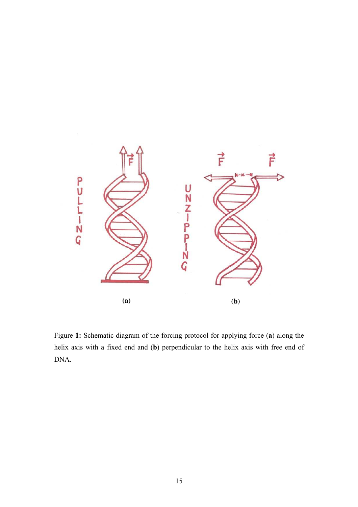

Figure **1:** Schematic diagram of the forcing protocol for applying force (**a**) along the helix axis with a fixed end and (**b**) perpendicular to the helix axis with free end of DNA.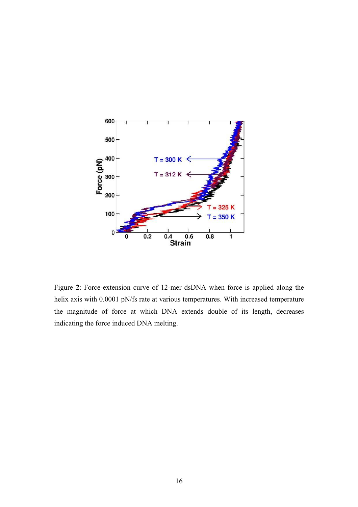

Figure **2**: Force-extension curve of 12-mer dsDNA when force is applied along the helix axis with 0.0001 pN/fs rate at various temperatures. With increased temperature the magnitude of force at which DNA extends double of its length, decreases indicating the force induced DNA melting.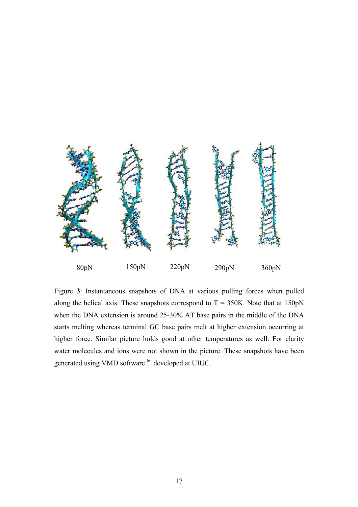

Figure **3**: Instantaneous snapshots of DNA at various pulling forces when pulled along the helical axis. These snapshots correspond to  $T = 350K$ . Note that at 150pN when the DNA extension is around 25-30% AT base pairs in the middle of the DNA starts melting whereas terminal GC base pairs melt at higher extension occurring at higher force. Similar picture holds good at other temperatures as well. For clarity water molecules and ions were not shown in the picture. These snapshots have been generated using VMD software <sup>66</sup> developed at UIUC.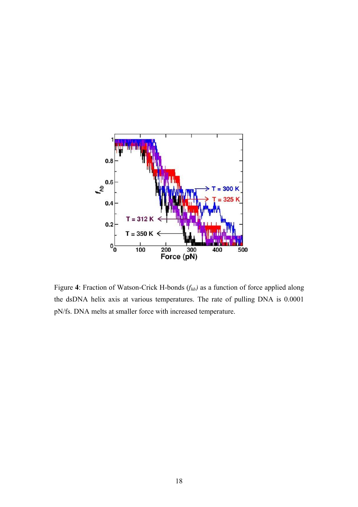

Figure **4**: Fraction of Watson-Crick H-bonds (*fhb)* as a function of force applied along the dsDNA helix axis at various temperatures. The rate of pulling DNA is 0.0001 pN/fs. DNA melts at smaller force with increased temperature.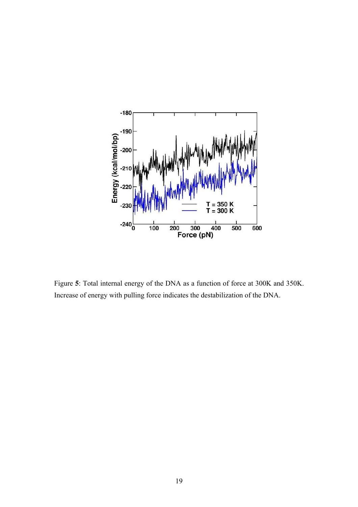

Figure **5**: Total internal energy of the DNA as a function of force at 300K and 350K. Increase of energy with pulling force indicates the destabilization of the DNA.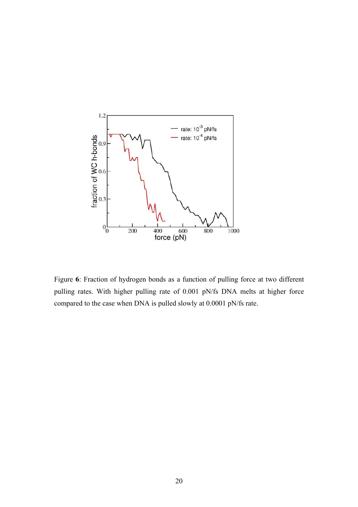

Figure **6**: Fraction of hydrogen bonds as a function of pulling force at two different pulling rates. With higher pulling rate of 0.001 pN/fs DNA melts at higher force compared to the case when DNA is pulled slowly at 0.0001 pN/fs rate.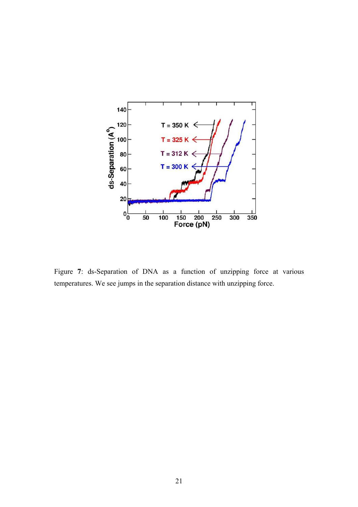

Figure **7**: ds-Separation of DNA as a function of unzipping force at various temperatures. We see jumps in the separation distance with unzipping force.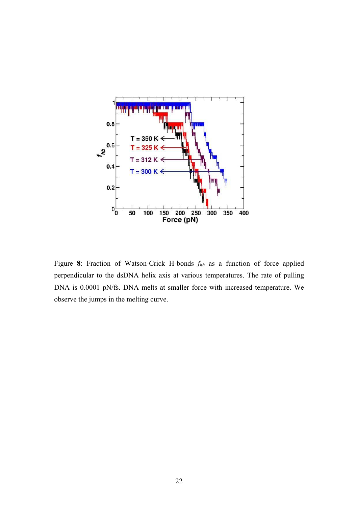

Figure **8**: Fraction of Watson-Crick H-bonds *fhb* as a function of force applied perpendicular to the dsDNA helix axis at various temperatures. The rate of pulling DNA is 0.0001 pN/fs. DNA melts at smaller force with increased temperature. We observe the jumps in the melting curve.